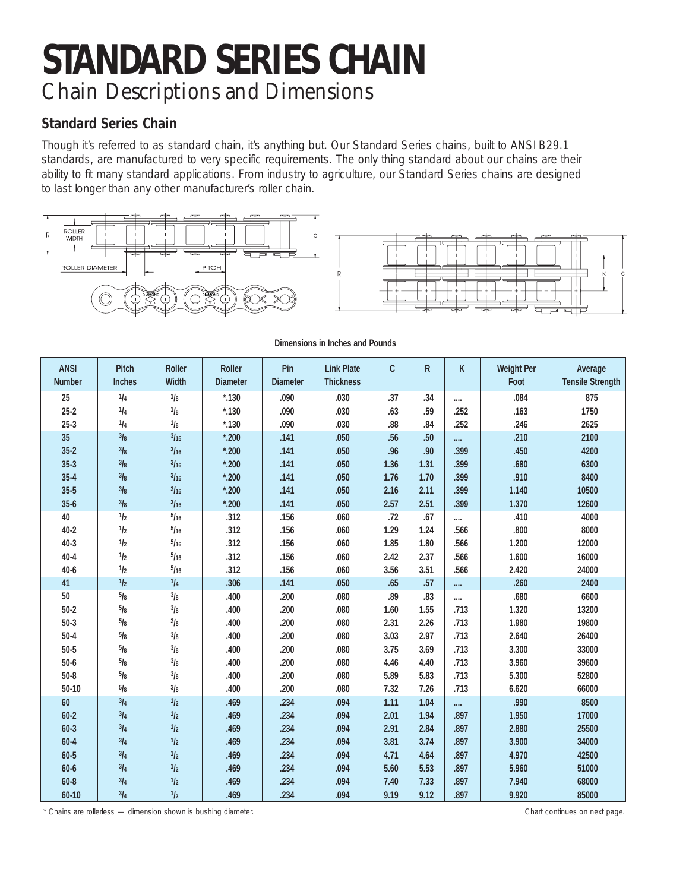## **STANDARD SERIES CHAIN** Chain Descriptions and Dimensions

## **Standard Series Chain**

Though it's referred to as standard chain, it's anything but. Our Standard Series chains, built to ANSI B29.1 standards, are manufactured to very specific requirements. The only thing standard about our chains are their ability to fit many standard applications. From industry to agriculture, our Standard Series chains are designed to last longer than any other manufacturer's roller chain.





| <b>ANSI</b>   | <b>Pitch</b>  | <b>Roller</b> | <b>Roller</b>   | Pin             | <b>Link Plate</b> | C    | R    | K    | <b>Weight Per</b> | Average                 |
|---------------|---------------|---------------|-----------------|-----------------|-------------------|------|------|------|-------------------|-------------------------|
| <b>Number</b> | <b>Inches</b> | Width         | <b>Diameter</b> | <b>Diameter</b> | <b>Thickness</b>  |      |      |      | Foot              | <b>Tensile Strength</b> |
| 25            | 1/4           | 1/8           | $*130$          | .090            | .030              | .37  | .34  |      | .084              | 875                     |
| $25 - 2$      | 1/4           | 1/8           | $*130$          | .090            | .030              | .63  | .59  | .252 | .163              | 1750                    |
| $25 - 3$      | 1/4           | 1/8           | $*130$          | .090            | .030              | .88  | .84  | .252 | .246              | 2625                    |
| 35            | 3/8           | 3/16          | $*$ ,200        | .141            | .050              | .56  | .50  |      | .210              | 2100                    |
| $35 - 2$      | 3/8           | 3/16          | $*$ ,200        | .141            | .050              | .96  | .90  | .399 | .450              | 4200                    |
| $35 - 3$      | 3/8           | 3/16          | $*$ ,200        | .141            | .050              | 1.36 | 1.31 | .399 | .680              | 6300                    |
| $35 - 4$      | 3/8           | 3/16          | $*200$          | .141            | .050              | 1.76 | 1.70 | .399 | .910              | 8400                    |
| $35 - 5$      | 3/8           | 3/16          | $*200$          | .141            | .050              | 2.16 | 2.11 | .399 | 1.140             | 10500                   |
| $35 - 6$      | 3/8           | 3/16          | $*200$          | .141            | .050              | 2.57 | 2.51 | .399 | 1.370             | 12600                   |
| 40            | 1/2           | 5/16          | .312            | .156            | .060              | .72  | .67  |      | .410              | 4000                    |
| $40 - 2$      | 1/2           | 5/16          | .312            | .156            | .060              | 1.29 | 1.24 | .566 | .800              | 8000                    |
| $40 - 3$      | 1/2           | 5/16          | .312            | .156            | .060              | 1.85 | 1.80 | .566 | 1.200             | 12000                   |
| $40 - 4$      | 1/2           | 5/16          | .312            | .156            | .060              | 2.42 | 2.37 | .566 | 1.600             | 16000                   |
| $40 - 6$      | 1/2           | 5/16          | .312            | .156            | .060              | 3.56 | 3.51 | .566 | 2.420             | 24000                   |
| 41            | 1/2           | 1/4           | .306            | .141            | .050              | .65  | .57  |      | .260              | 2400                    |
| 50            | 5/8           | 3/8           | .400            | .200            | .080              | .89  | .83  |      | .680              | 6600                    |
| $50 - 2$      | 5/8           | 3/8           | .400            | .200            | .080              | 1.60 | 1.55 | .713 | 1.320             | 13200                   |
| $50-3$        | 5/8           | 3/8           | .400            | .200            | .080              | 2.31 | 2.26 | .713 | 1.980             | 19800                   |
| $50 - 4$      | 5/8           | 3/8           | .400            | .200            | .080              | 3.03 | 2.97 | .713 | 2.640             | 26400                   |
| $50 - 5$      | 5/8           | 3/8           | .400            | .200            | .080              | 3.75 | 3.69 | .713 | 3.300             | 33000                   |
| $50 - 6$      | 5/8           | 3/8           | .400            | .200            | .080              | 4.46 | 4.40 | .713 | 3.960             | 39600                   |
| $50 - 8$      | 5/8           | 3/8           | .400            | .200            | .080              | 5.89 | 5.83 | .713 | 5.300             | 52800                   |
| $50 - 10$     | 5/8           | 3/8           | .400            | .200            | .080              | 7.32 | 7.26 | .713 | 6.620             | 66000                   |
| 60            | 3/4           | 1/2           | .469            | .234            | .094              | 1.11 | 1.04 |      | .990              | 8500                    |
| $60 - 2$      | 3/4           | 1/2           | .469            | .234            | .094              | 2.01 | 1.94 | .897 | 1.950             | 17000                   |
| $60 - 3$      | 3/4           | 1/2           | .469            | .234            | .094              | 2.91 | 2.84 | .897 | 2.880             | 25500                   |
| $60 - 4$      | 3/4           | 1/2           | .469            | .234            | .094              | 3.81 | 3.74 | .897 | 3.900             | 34000                   |
| 60-5          | 3/4           | 1/2           | .469            | .234            | .094              | 4.71 | 4.64 | .897 | 4.970             | 42500                   |
| $60 - 6$      | 3/4           | 1/2           | .469            | .234            | .094              | 5.60 | 5.53 | .897 | 5.960             | 51000                   |
| $60 - 8$      | 3/4           | 1/2           | .469            | .234            | .094              | 7.40 | 7.33 | .897 | 7.940             | 68000                   |
| 60-10         | 3/4           | 1/2           | .469            | .234            | .094              | 9.19 | 9.12 | .897 | 9.920             | 85000                   |

**Dimensions in Inches and Pounds**

\* Chains are rollerless — dimension shown is bushing diameter. Chart continues on next page.